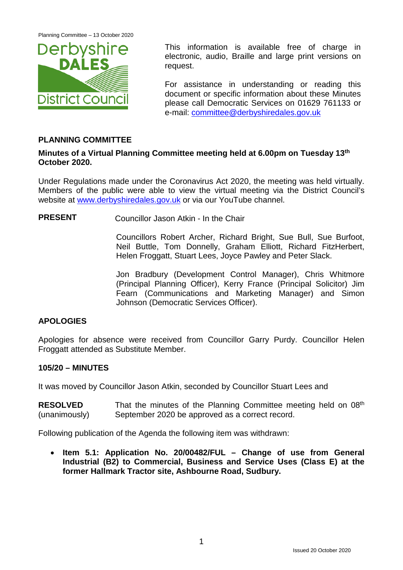Planning Committee – 13 October 2020



This information is available free of charge in electronic, audio, Braille and large print versions on request.

For assistance in understanding or reading this document or specific information about these Minutes please call Democratic Services on 01629 761133 or e-mail: [committee@derbyshiredales.gov.uk](mailto:committee@derbyshiredales.gov.uk)

# **PLANNING COMMITTEE**

### **Minutes of a Virtual Planning Committee meeting held at 6.00pm on Tuesday 13th October 2020.**

Under Regulations made under the Coronavirus Act 2020, the meeting was held virtually. Members of the public were able to view the virtual meeting via the District Council's website at [www.derbyshiredales.gov.uk](http://www.derbyshiredales.gov.uk/) or via our YouTube channel.

**PRESENT** Councillor Jason Atkin - In the Chair

Councillors Robert Archer, Richard Bright, Sue Bull, Sue Burfoot, Neil Buttle, Tom Donnelly, Graham Elliott, Richard FitzHerbert, Helen Froggatt, Stuart Lees, Joyce Pawley and Peter Slack.

Jon Bradbury (Development Control Manager), Chris Whitmore (Principal Planning Officer), Kerry France (Principal Solicitor) Jim Fearn (Communications and Marketing Manager) and Simon Johnson (Democratic Services Officer).

# **APOLOGIES**

Apologies for absence were received from Councillor Garry Purdy. Councillor Helen Froggatt attended as Substitute Member.

# **105/20 – MINUTES**

It was moved by Councillor Jason Atkin, seconded by Councillor Stuart Lees and

**RESOLVED** (unanimously) That the minutes of the Planning Committee meeting held on 08<sup>th</sup> September 2020 be approved as a correct record.

Following publication of the Agenda the following item was withdrawn:

• **Item 5.1: Application No. 20/00482/FUL – Change of use from General Industrial (B2) to Commercial, Business and Service Uses (Class E) at the former Hallmark Tractor site, Ashbourne Road, Sudbury.**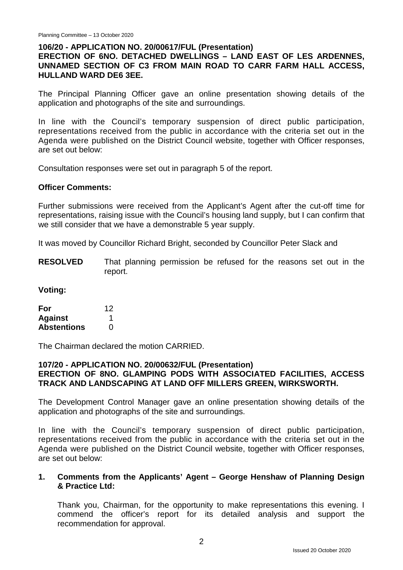### **106/20 - APPLICATION NO. 20/00617/FUL (Presentation)**

# **ERECTION OF 6NO. DETACHED DWELLINGS – LAND EAST OF LES ARDENNES, UNNAMED SECTION OF C3 FROM MAIN ROAD TO CARR FARM HALL ACCESS, HULLAND WARD DE6 3EE.**

The Principal Planning Officer gave an online presentation showing details of the application and photographs of the site and surroundings.

In line with the Council's temporary suspension of direct public participation, representations received from the public in accordance with the criteria set out in the Agenda were published on the District Council website, together with Officer responses, are set out below:

Consultation responses were set out in paragraph 5 of the report.

#### **Officer Comments:**

Further submissions were received from the Applicant's Agent after the cut-off time for representations, raising issue with the Council's housing land supply, but I can confirm that we still consider that we have a demonstrable 5 year supply.

It was moved by Councillor Richard Bright, seconded by Councillor Peter Slack and

**RESOLVED** That planning permission be refused for the reasons set out in the report.

**Voting:**

| For                | 12 |
|--------------------|----|
| <b>Against</b>     |    |
| <b>Abstentions</b> | O  |

The Chairman declared the motion CARRIED.

#### **107/20 - APPLICATION NO. 20/00632/FUL (Presentation) ERECTION OF 8NO. GLAMPING PODS WITH ASSOCIATED FACILITIES, ACCESS TRACK AND LANDSCAPING AT LAND OFF MILLERS GREEN, WIRKSWORTH.**

The Development Control Manager gave an online presentation showing details of the application and photographs of the site and surroundings.

In line with the Council's temporary suspension of direct public participation, representations received from the public in accordance with the criteria set out in the Agenda were published on the District Council website, together with Officer responses, are set out below:

### **1. Comments from the Applicants' Agent – George Henshaw of Planning Design & Practice Ltd:**

Thank you, Chairman, for the opportunity to make representations this evening. I commend the officer's report for its detailed analysis and support the recommendation for approval.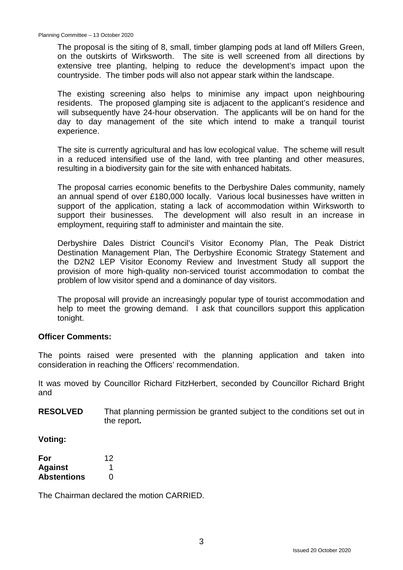The proposal is the siting of 8, small, timber glamping pods at land off Millers Green, on the outskirts of Wirksworth. The site is well screened from all directions by extensive tree planting, helping to reduce the development's impact upon the countryside. The timber pods will also not appear stark within the landscape.

The existing screening also helps to minimise any impact upon neighbouring residents. The proposed glamping site is adjacent to the applicant's residence and will subsequently have 24-hour observation. The applicants will be on hand for the day to day management of the site which intend to make a tranquil tourist experience.

The site is currently agricultural and has low ecological value. The scheme will result in a reduced intensified use of the land, with tree planting and other measures, resulting in a biodiversity gain for the site with enhanced habitats.

The proposal carries economic benefits to the Derbyshire Dales community, namely an annual spend of over £180,000 locally. Various local businesses have written in support of the application, stating a lack of accommodation within Wirksworth to support their businesses. The development will also result in an increase in employment, requiring staff to administer and maintain the site.

Derbyshire Dales District Council's Visitor Economy Plan, The Peak District Destination Management Plan, The Derbyshire Economic Strategy Statement and the D2N2 LEP Visitor Economy Review and Investment Study all support the provision of more high-quality non-serviced tourist accommodation to combat the problem of low visitor spend and a dominance of day visitors.

The proposal will provide an increasingly popular type of tourist accommodation and help to meet the growing demand. I ask that councillors support this application tonight.

### **Officer Comments:**

The points raised were presented with the planning application and taken into consideration in reaching the Officers' recommendation.

It was moved by Councillor Richard FitzHerbert, seconded by Councillor Richard Bright and

**RESOLVED** That planning permission be granted subject to the conditions set out in the report**.**

**Voting:**

| For                | 12 |
|--------------------|----|
| <b>Against</b>     |    |
| <b>Abstentions</b> | 0  |

The Chairman declared the motion CARRIED.